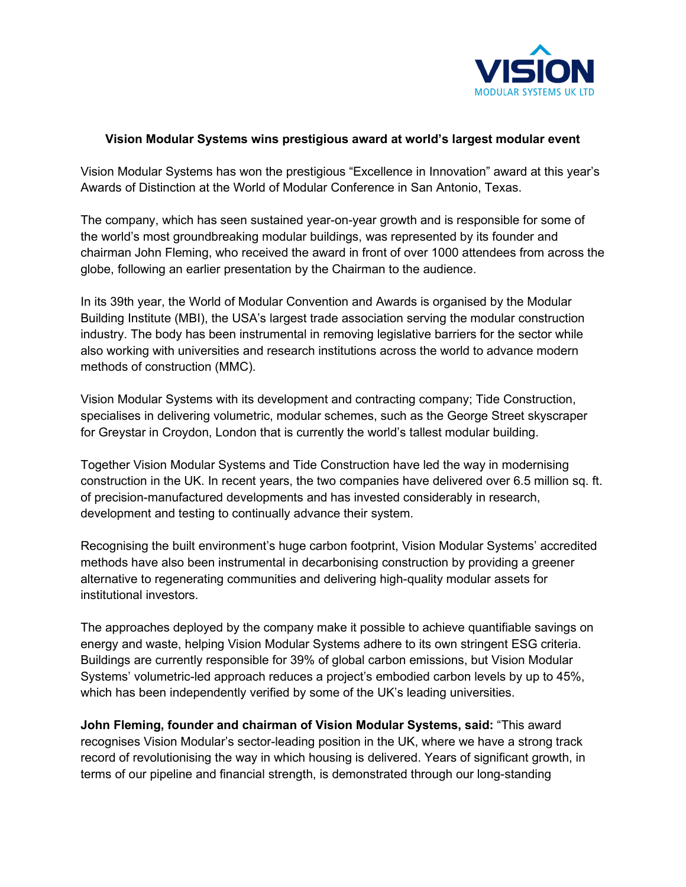

## **Vision Modular Systems wins prestigious award at world's largest modular event**

Vision Modular Systems has won the prestigious "Excellence in Innovation" award at this year's Awards of Distinction at the World of Modular Conference in San Antonio, Texas.

The company, which has seen sustained year-on-year growth and is responsible for some of the world's most groundbreaking modular buildings, was represented by its founder and chairman John Fleming, who received the award in front of over 1000 attendees from across the globe, following an earlier presentation by the Chairman to the audience.

In its 39th year, the World of Modular Convention and Awards is organised by the Modular Building Institute (MBI), the USA's largest trade association serving the modular construction industry. The body has been instrumental in removing legislative barriers for the sector while also working with universities and research institutions across the world to advance modern methods of construction (MMC).

Vision Modular Systems with its development and contracting company; Tide Construction, specialises in delivering volumetric, modular schemes, such as the George Street skyscraper for Greystar in Croydon, London that is currently the world's tallest modular building.

Together Vision Modular Systems and Tide Construction have led the way in modernising construction in the UK. In recent years, the two companies have delivered over 6.5 million sq. ft. of precision-manufactured developments and has invested considerably in research, development and testing to continually advance their system.

Recognising the built environment's huge carbon footprint, Vision Modular Systems' accredited methods have also been instrumental in decarbonising construction by providing a greener alternative to regenerating communities and delivering high-quality modular assets for institutional investors.

The approaches deployed by the company make it possible to achieve quantifiable savings on energy and waste, helping Vision Modular Systems adhere to its own stringent ESG criteria. Buildings are currently responsible for 39% of global carbon emissions, but Vision Modular Systems' volumetric-led approach reduces a project's embodied carbon levels by up to 45%, which has been independently verified by some of the UK's leading universities.

**John Fleming, founder and chairman of Vision Modular Systems, said:** "This award recognises Vision Modular's sector-leading position in the UK, where we have a strong track record of revolutionising the way in which housing is delivered. Years of significant growth, in terms of our pipeline and financial strength, is demonstrated through our long-standing